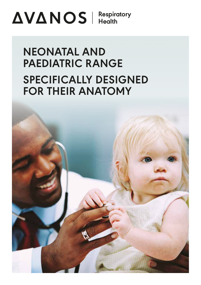## **Respiratory Health**

## **NEONATAL AND PAEDIATRIC RANGE SPECIFICALLY DESIGNED FOR THEIR ANATOMY**

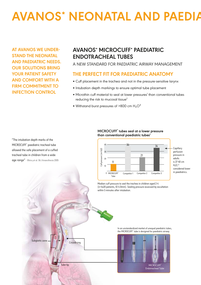## **AVANOS\* NEONATAL AND PAEDIATRIC SOLUTIONS**

**AT AVANOS WE UNDER-STAND THE NEONATAL AND PAEDIATRIC NEEDS. OUR SOLUTIONS BRING YOUR PATIENT SAFETY AND COMFORT WITH A FIRM COMMITMENT TO INFECTION CONTROL**

## **AVANOS\* MICROCUFF\* PAEDIATRIC ENDOTRACHEAL TUBES**

A NEW STANDARD FOR PAEDIATRIC AIRWAY MANAGEMENT

### **THE PERFECT FIT FOR PAEDIATRIC ANATOMY**

- Cuff placement in the trachea and not in the pressure-sensitive larynx
- Intubation depth markings to ensure optimal tube placement
- Microthin cuff material to seal at lower pressures<sup>1</sup> than conventional tubes reducing the risk to mucosal tissue<sup>2</sup>
- Withstand burst pressures of >800 cm  $H_2O^3$

"The intubation depth marks of the MICROCUFF\* paediatric tracheal tube allowed the safe placement of a cuffed tracheal tube in children from a wide age range" - Weiss,et al. BrJ Anaesthesia 2005

Subglottic zone — Cricoid ring

Tube tip

#### **MICROCUFF\* tubes seal at a lower pressure than conventional paediatric tubes1**



Median cuff pressure to seal the trachea in children aged 2-4 (n=4x20 patients, ID 4.0mm). Sealing pressure assessed by ascultation within 5 minutes after intubation.

> In an unstandardized market of unequal paediatric tubes, the MICROCUFF\* tube is designed for paediatric airway



Endotracheal Tube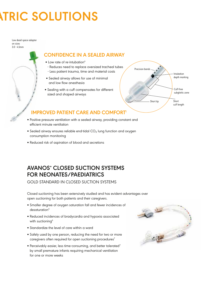# **ATRIC SOLUTIONS**

Low dead-space adapter on sizes 3.0 - 4.5mm

## **CONFIDENCE IN A SEALED AIRWAY**

- Low rate of re-intubation<sup>4</sup>
	- Reduces need to replace oversized tracheal tubes - Less patient trauma, time and material costs
- Sealed airway allows for use of minimal
- and low flow anesthesia
- Sealing with a cuff compensates for different sized and shaped airways



## **IMPROVED PATIENT CARE AND COMFORT1**

- Positive pressure ventilation with a sealed airway, providing constant and efficient minute ventilation
- Sealed airway ensures reliable end-tidal CO<sub>2</sub> lung function and oxygen consumption monitoring
- Reduced risk of aspiration of blood and secretions

## **AVANOS\* CLOSED SUCTION SYSTEMS FOR NEONATES/PAEDIATRICS**

GOLD STANDARD IN CLOSED SUCTION SYSTEMS

Closed suctioning has been extensively studied and has evident advantages over open suctioning for both patients and their caregivers.

- Smaller degree of oxygen saturation fall and fewer incidences of desaturation<sup>5</sup>
- Reduced incidences of bradycardia and hypoxia associated with suctioning<sup>6</sup>
- Standardize the level of care within a ward
- Safely used by one person, reducing the need for two or more caregivers often required for open suctioning procedures<sup>7</sup>
- Perceivably easier, less time-consuming, and better tolerated7 by small premature infants requiring mechanical ventilation for one or more weeks

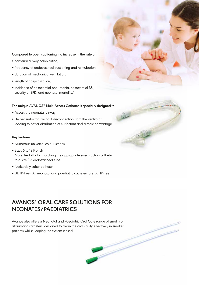#### Compared to open suctioning, no increase in the rate of<sup>7</sup>:

- bacterial airway colonization,
- frequency of endotracheal suctioning and reintubation,
- duration of mechanical ventilation,
- length of hospitalization,
- incidence of nosocomial pneumonia, nosocomial BSI, severity of BPD, and neonatal mortality.<sup>7</sup>

#### **The unique AVANOS\* Multi-Access Catheter is specially designed to**

- Access the neonatal airway
- Deliver surfactant without disconnection from the ventilator leading to better distribution of surfactant and almost no wastage

#### **Key features:**

- Numerous universal colour stripes
- Sizes 5 to 12 French More flexibility for matching the appropriate sized suction catheter to a size 3.5 endotracheal tube
- Noticeably softer catheter
- DEHP-free All neonatal and paediatric catheters are DEHP-free

## **AVANOS\* ORAL CARE SOLUTIONS FOR NEONATES/PAEDIATRICS**

Avanos also offers a Neonatal and Paediatric Oral Care range of small, soft, atraumatic catheters, designed to clean the oral cavity effectively in smaller patients whilst keeping the system closed.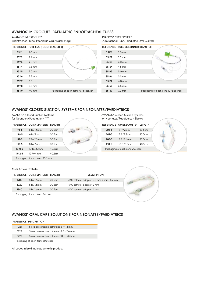#### **AVANOS\* MICROCUFF\* PAEDIATRIC ENDOTRACHEAL TUBES**

AVANOS\* MICROCUFF\* Endotracheal Tube, Paediatric Oral/Nasal Magill

|       | REFERENCE TUBE SIZE (INNER DIAMETER) |                                      |
|-------|--------------------------------------|--------------------------------------|
| 35111 | $3.0 \text{ mm}$                     |                                      |
| 35112 | $3.5 \text{ mm}$                     |                                      |
| 35113 | $4.0 \text{ mm}$                     |                                      |
| 35114 | $4.5 \text{ mm}$                     |                                      |
| 35115 | $5.0 \text{ mm}$                     |                                      |
| 35116 | $5.5 \text{ mm}$                     |                                      |
| 35117 | $6.0$ mm                             |                                      |
| 35118 | $6.5 \text{ mm}$                     |                                      |
| 35119 | $7.0 \text{ mm}$                     | Packaging of each item: 10/dispenser |

AVANOS\* MICROCUFF\* Endotracheal Tube, Paediatric Oral Curved

|       | REFERENCE TUBE SIZE (INNER DIAMETER) |                                      |
|-------|--------------------------------------|--------------------------------------|
| 35161 | $3.0 \text{ mm}$                     |                                      |
| 35162 | $3.5 \text{ mm}$                     |                                      |
| 35163 | $4.0 \text{ mm}$                     |                                      |
| 35164 | $4.5 \text{ mm}$                     |                                      |
| 35165 | $5.0 \text{ mm}$                     |                                      |
| 35166 | $5.5 \text{ mm}$                     |                                      |
| 35167 | $6.0$ mm                             |                                      |
| 35168 | $6.5 \text{ mm}$                     |                                      |
| 35169 | $7.0 \text{ mm}$                     | Packaging of each item: 10/dispenser |
|       |                                      |                                      |

### **AVANOS\* CLOSED SUCTION SYSTEMS FOR NEONATES/PAEDIATRICS**

AVANOS\* Closed Suction Systems for Neonates/Paediatrics - "Y"

|           | REFERENCE OUTER DIAMETER LENGTH |        |  |
|-----------|---------------------------------|--------|--|
| $195 - 5$ | 5 Fr/1.6mm                      | 30.5cm |  |
| $196 - 5$ | $6$ Fr $/2$ mm                  | 30.5cm |  |
| $197 - 5$ | 7 Fr/2.3mm                      | 30.5cm |  |
| $198 - 5$ | $8$ Fr/ $2$ 6mm                 | 30.5cm |  |
| 1910-5    | 10 Fr/3.3mm                     | 40.5cm |  |
| 1912-5    | 12 Fr/4mm                       | 40.5cm |  |
|           | Packaging of each item: 20/case |        |  |
|           |                                 |        |  |

| <b>AVANOS* Closed Suction Systems</b> |  |
|---------------------------------------|--|
| for Neonates/Paediatrics - Elbows     |  |

| <u>IVI INCONGRESI GCORIGIICS LIDOVIS</u> |                                 |        |  |
|------------------------------------------|---------------------------------|--------|--|
|                                          | REFERENCE OUTER DIAMETER LENGTH |        |  |
| $206 - 5$                                | $6$ Fr/2mm                      | 30.5cm |  |
| $207 - 5$                                | 7 Fr/2.3mm                      | 35.5cm |  |
| $208 - 5$                                | 8 Fr/2.6mm                      | 35.5cm |  |
| $210 - 5$                                | 10 Fr/3.3mm                     | 40.5cm |  |
|                                          | Packaging of each item: 20/case |        |  |

#### Multi-Access Catheter

|      | REFERENCE OUTER DIAMETER       | LENGTH | <b>DESCRIPTION</b>                         |  |
|------|--------------------------------|--------|--------------------------------------------|--|
| 1900 | $5$ Fr/1.6mm                   | 30.5cm | MAC catheter adapter: 2.5 mm, 3 mm, 3.5 mm |  |
| 1920 | $5$ Fr/1.6mm                   | 30.5cm | MAC catheter adapter: 2 mm                 |  |
| 1940 | $5$ Fr/1.6mm                   | 30.5cm | MAC catheter adapter: 4 mm                 |  |
|      | Packaging of each item: 5/case |        |                                            |  |

### **AVANOS\* ORAL CARE SOLUTIONS FOR NEONATES/PAEDIATRICS**

|      | REFERENCE DESCRIPTION                         |
|------|-----------------------------------------------|
| 1221 | 5 oral care suction catheters: 6 Fr - 2 mm    |
| 1222 | 5 oral care suction catheters: 8 Fr - 2.6 mm  |
| 1223 | 5 oral care suction catheters: 10 Fr - 3.3 mm |
|      | Packaging of each item: 250/case              |

All codes in **bold** indicate a **sterile** product.